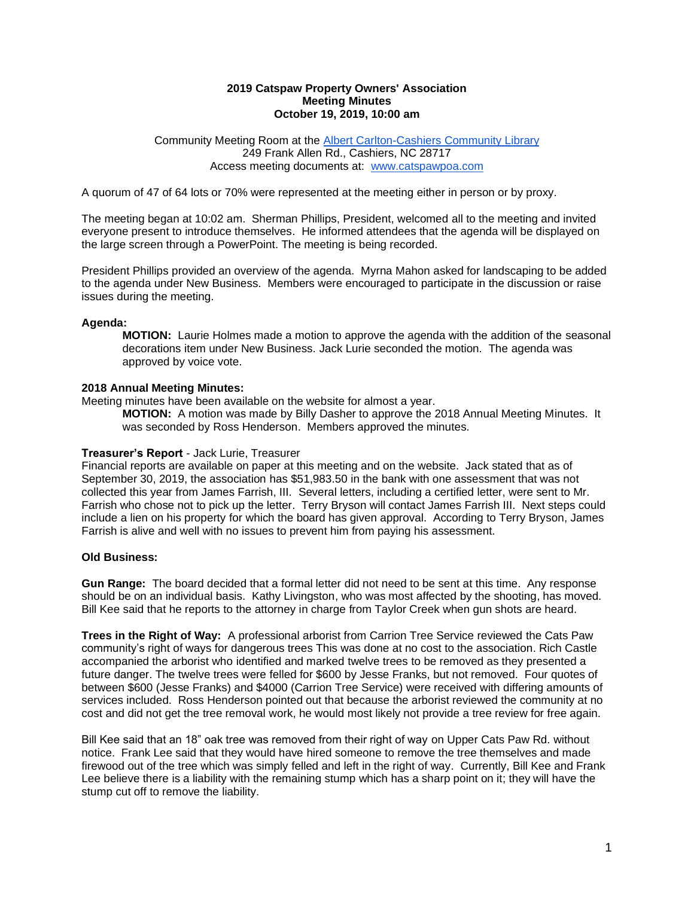#### **2019 Catspaw Property Owners' Association Meeting Minutes October 19, 2019, 10:00 am**

#### Community Meeting Room at th[e](http://www.fontanalib.org/cashiers) [Albert Carlton-Cashiers](http://www.fontanalib.org/cashiers) [Community Library](http://www.fontanalib.org/cashiers) 249 Frank Allen Rd., Cashiers, NC 28717 Access meeting documents at: [www.catspawpoa.com](http://www.catspawpoa.com/)

A quorum of 47 of 64 lots or 70% were represented at the meeting either in person or by proxy.

The meeting began at 10:02 am. Sherman Phillips, President, welcomed all to the meeting and invited everyone present to introduce themselves. He informed attendees that the agenda will be displayed on the large screen through a PowerPoint. The meeting is being recorded.

President Phillips provided an overview of the agenda. Myrna Mahon asked for landscaping to be added to the agenda under New Business. Members were encouraged to participate in the discussion or raise issues during the meeting.

#### **Agenda:**

**MOTION:** Laurie Holmes made a motion to approve the agenda with the addition of the seasonal decorations item under New Business. Jack Lurie seconded the motion. The agenda was approved by voice vote.

#### **2018 Annual Meeting Minutes:**

Meeting minutes have been available on the website for almost a year.

**MOTION:** A motion was made by Billy Dasher to approve the 2018 Annual Meeting Minutes. It was seconded by Ross Henderson. Members approved the minutes.

#### **Treasurer's Report** - Jack Lurie, Treasurer

Financial reports are available on paper at this meeting and on the website. Jack stated that as of September 30, 2019, the association has \$51,983.50 in the bank with one assessment that was not collected this year from James Farrish, III. Several letters, including a certified letter, were sent to Mr. Farrish who chose not to pick up the letter. Terry Bryson will contact James Farrish III. Next steps could include a lien on his property for which the board has given approval. According to Terry Bryson, James Farrish is alive and well with no issues to prevent him from paying his assessment.

#### **Old Business:**

**Gun Range:** The board decided that a formal letter did not need to be sent at this time. Any response should be on an individual basis. Kathy Livingston, who was most affected by the shooting, has moved. Bill Kee said that he reports to the attorney in charge from Taylor Creek when gun shots are heard.

**Trees in the Right of Way:** A professional arborist from Carrion Tree Service reviewed the Cats Paw community's right of ways for dangerous trees This was done at no cost to the association. Rich Castle accompanied the arborist who identified and marked twelve trees to be removed as they presented a future danger. The twelve trees were felled for \$600 by Jesse Franks, but not removed. Four quotes of between \$600 (Jesse Franks) and \$4000 (Carrion Tree Service) were received with differing amounts of services included. Ross Henderson pointed out that because the arborist reviewed the community at no cost and did not get the tree removal work, he would most likely not provide a tree review for free again.

Bill Kee said that an 18" oak tree was removed from their right of way on Upper Cats Paw Rd. without notice. Frank Lee said that they would have hired someone to remove the tree themselves and made firewood out of the tree which was simply felled and left in the right of way. Currently, Bill Kee and Frank Lee believe there is a liability with the remaining stump which has a sharp point on it; they will have the stump cut off to remove the liability.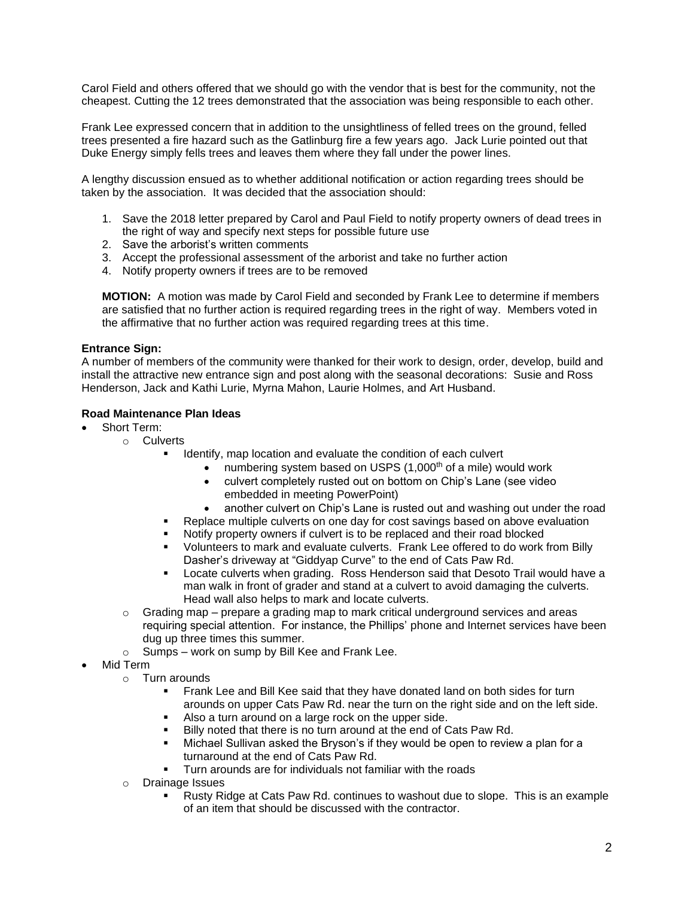Carol Field and others offered that we should go with the vendor that is best for the community, not the cheapest. Cutting the 12 trees demonstrated that the association was being responsible to each other.

Frank Lee expressed concern that in addition to the unsightliness of felled trees on the ground, felled trees presented a fire hazard such as the Gatlinburg fire a few years ago. Jack Lurie pointed out that Duke Energy simply fells trees and leaves them where they fall under the power lines.

A lengthy discussion ensued as to whether additional notification or action regarding trees should be taken by the association. It was decided that the association should:

- 1. Save the 2018 letter prepared by Carol and Paul Field to notify property owners of dead trees in the right of way and specify next steps for possible future use
- 2. Save the arborist's written comments
- 3. Accept the professional assessment of the arborist and take no further action
- 4. Notify property owners if trees are to be removed

**MOTION:** A motion was made by Carol Field and seconded by Frank Lee to determine if members are satisfied that no further action is required regarding trees in the right of way. Members voted in the affirmative that no further action was required regarding trees at this time.

### **Entrance Sign:**

A number of members of the community were thanked for their work to design, order, develop, build and install the attractive new entrance sign and post along with the seasonal decorations: Susie and Ross Henderson, Jack and Kathi Lurie, Myrna Mahon, Laurie Holmes, and Art Husband.

### **Road Maintenance Plan Ideas**

- Short Term:
	- o Culverts
		- Identify, map location and evaluate the condition of each culvert
			- numbering system based on USPS (1,000<sup>th</sup> of a mile) would work
				- culvert completely rusted out on bottom on Chip's Lane (see video embedded in meeting PowerPoint)
				- another culvert on Chip's Lane is rusted out and washing out under the road
		- Replace multiple culverts on one day for cost savings based on above evaluation
		- Notify property owners if culvert is to be replaced and their road blocked
		- Volunteers to mark and evaluate culverts. Frank Lee offered to do work from Billy Dasher's driveway at "Giddyap Curve" to the end of Cats Paw Rd.
		- Locate culverts when grading. Ross Henderson said that Desoto Trail would have a man walk in front of grader and stand at a culvert to avoid damaging the culverts. Head wall also helps to mark and locate culverts.
	- $\circ$  Grading map prepare a grading map to mark critical underground services and areas requiring special attention. For instance, the Phillips' phone and Internet services have been dug up three times this summer.
	- $\circ$  Sumps work on sump by Bill Kee and Frank Lee.
- Mid Term
	- o Turn arounds
		- **EXECT A** Frank Lee and Bill Kee said that they have donated land on both sides for turn arounds on upper Cats Paw Rd. near the turn on the right side and on the left side.
		- Also a turn around on a large rock on the upper side.
		- Billy noted that there is no turn around at the end of Cats Paw Rd.
		- Michael Sullivan asked the Bryson's if they would be open to review a plan for a turnaround at the end of Cats Paw Rd.
		- Turn arounds are for individuals not familiar with the roads
	- o Drainage Issues
		- Rusty Ridge at Cats Paw Rd. continues to washout due to slope. This is an example of an item that should be discussed with the contractor.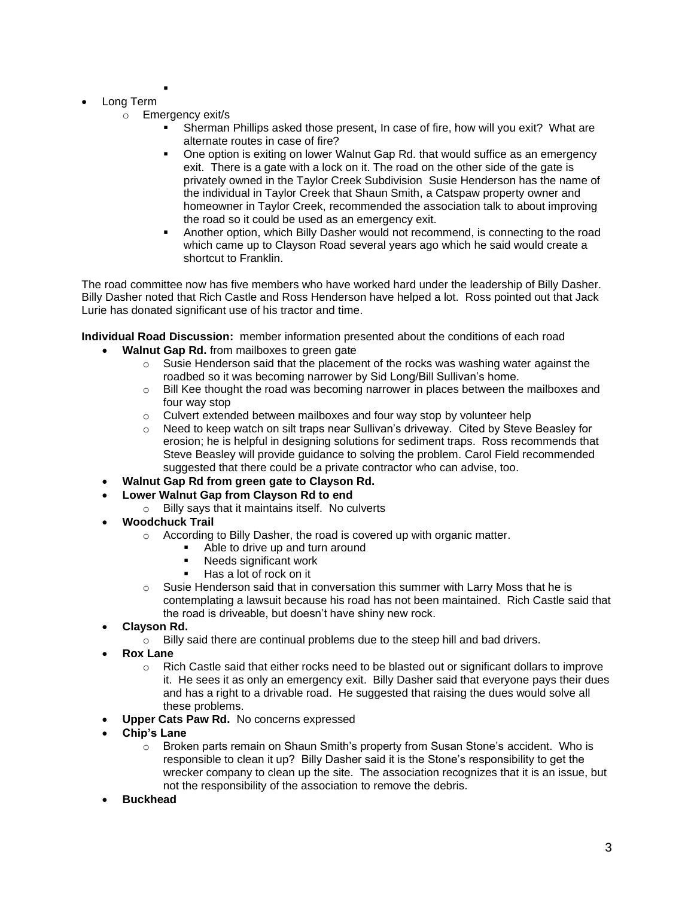- Long Term
	- o Emergency exit/s

▪

- Sherman Phillips asked those present, In case of fire, how will you exit? What are alternate routes in case of fire?
- One option is exiting on lower Walnut Gap Rd. that would suffice as an emergency exit. There is a gate with a lock on it. The road on the other side of the gate is privately owned in the Taylor Creek Subdivision Susie Henderson has the name of the individual in Taylor Creek that Shaun Smith, a Catspaw property owner and homeowner in Taylor Creek, recommended the association talk to about improving the road so it could be used as an emergency exit.
- Another option, which Billy Dasher would not recommend, is connecting to the road which came up to Clayson Road several years ago which he said would create a shortcut to Franklin.

The road committee now has five members who have worked hard under the leadership of Billy Dasher. Billy Dasher noted that Rich Castle and Ross Henderson have helped a lot. Ross pointed out that Jack Lurie has donated significant use of his tractor and time.

**Individual Road Discussion:** member information presented about the conditions of each road

- **Walnut Gap Rd.** from mailboxes to green gate
	- $\circ$  Susie Henderson said that the placement of the rocks was washing water against the roadbed so it was becoming narrower by Sid Long/Bill Sullivan's home.
	- $\circ$  Bill Kee thought the road was becoming narrower in places between the mailboxes and four way stop
	- $\circ$  Culvert extended between mailboxes and four way stop by volunteer help
	- $\circ$  Need to keep watch on silt traps near Sullivan's driveway. Cited by Steve Beasley for erosion; he is helpful in designing solutions for sediment traps. Ross recommends that Steve Beasley will provide guidance to solving the problem. Carol Field recommended suggested that there could be a private contractor who can advise, too.
- **Walnut Gap Rd from green gate to Clayson Rd.**
- **Lower Walnut Gap from Clayson Rd to end**
	- o Billy says that it maintains itself. No culverts
- **Woodchuck Trail**
	- o According to Billy Dasher, the road is covered up with organic matter.
		- Able to drive up and turn around
		- Needs significant work
		- Has a lot of rock on it
	- $\circ$  Susie Henderson said that in conversation this summer with Larry Moss that he is contemplating a lawsuit because his road has not been maintained. Rich Castle said that the road is driveable, but doesn't have shiny new rock.
- **Clayson Rd.**
	- $\circ$  Billy said there are continual problems due to the steep hill and bad drivers.
- **Rox Lane**
	- $\circ$  Rich Castle said that either rocks need to be blasted out or significant dollars to improve it. He sees it as only an emergency exit. Billy Dasher said that everyone pays their dues and has a right to a drivable road. He suggested that raising the dues would solve all these problems.
- **Upper Cats Paw Rd.** No concerns expressed
- **Chip's Lane**
	- o Broken parts remain on Shaun Smith's property from Susan Stone's accident. Who is responsible to clean it up? Billy Dasher said it is the Stone's responsibility to get the wrecker company to clean up the site. The association recognizes that it is an issue, but not the responsibility of the association to remove the debris.
- **Buckhead**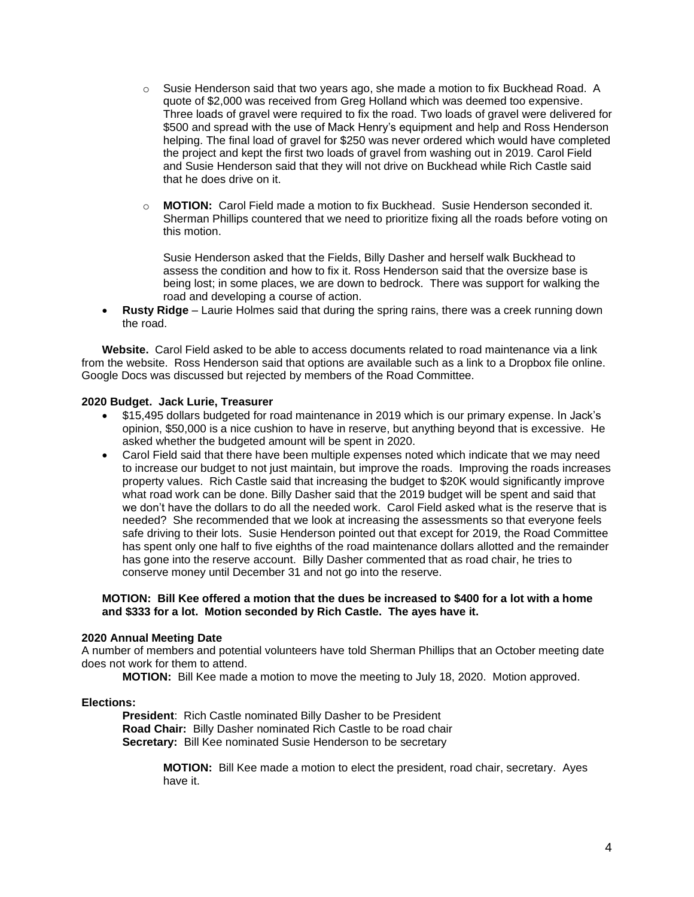- $\circ$  Susie Henderson said that two years ago, she made a motion to fix Buckhead Road. A quote of \$2,000 was received from Greg Holland which was deemed too expensive. Three loads of gravel were required to fix the road. Two loads of gravel were delivered for \$500 and spread with the use of Mack Henry's equipment and help and Ross Henderson helping. The final load of gravel for \$250 was never ordered which would have completed the project and kept the first two loads of gravel from washing out in 2019. Carol Field and Susie Henderson said that they will not drive on Buckhead while Rich Castle said that he does drive on it.
- o **MOTION:** Carol Field made a motion to fix Buckhead. Susie Henderson seconded it. Sherman Phillips countered that we need to prioritize fixing all the roads before voting on this motion.

Susie Henderson asked that the Fields, Billy Dasher and herself walk Buckhead to assess the condition and how to fix it. Ross Henderson said that the oversize base is being lost; in some places, we are down to bedrock. There was support for walking the road and developing a course of action.

• **Rusty Ridge** – Laurie Holmes said that during the spring rains, there was a creek running down the road.

**Website.** Carol Field asked to be able to access documents related to road maintenance via a link from the website. Ross Henderson said that options are available such as a link to a Dropbox file online. Google Docs was discussed but rejected by members of the Road Committee.

### **2020 Budget. Jack Lurie, Treasurer**

- \$15,495 dollars budgeted for road maintenance in 2019 which is our primary expense. In Jack's opinion, \$50,000 is a nice cushion to have in reserve, but anything beyond that is excessive. He asked whether the budgeted amount will be spent in 2020.
- Carol Field said that there have been multiple expenses noted which indicate that we may need to increase our budget to not just maintain, but improve the roads. Improving the roads increases property values. Rich Castle said that increasing the budget to \$20K would significantly improve what road work can be done. Billy Dasher said that the 2019 budget will be spent and said that we don't have the dollars to do all the needed work. Carol Field asked what is the reserve that is needed? She recommended that we look at increasing the assessments so that everyone feels safe driving to their lots. Susie Henderson pointed out that except for 2019, the Road Committee has spent only one half to five eighths of the road maintenance dollars allotted and the remainder has gone into the reserve account. Billy Dasher commented that as road chair, he tries to conserve money until December 31 and not go into the reserve.

#### **MOTION: Bill Kee offered a motion that the dues be increased to \$400 for a lot with a home and \$333 for a lot. Motion seconded by Rich Castle. The ayes have it.**

#### **2020 Annual Meeting Date**

A number of members and potential volunteers have told Sherman Phillips that an October meeting date does not work for them to attend.

**MOTION:** Bill Kee made a motion to move the meeting to July 18, 2020. Motion approved.

#### **Elections:**

**President**: Rich Castle nominated Billy Dasher to be President **Road Chair:** Billy Dasher nominated Rich Castle to be road chair **Secretary:** Bill Kee nominated Susie Henderson to be secretary

> **MOTION:** Bill Kee made a motion to elect the president, road chair, secretary. Ayes have it.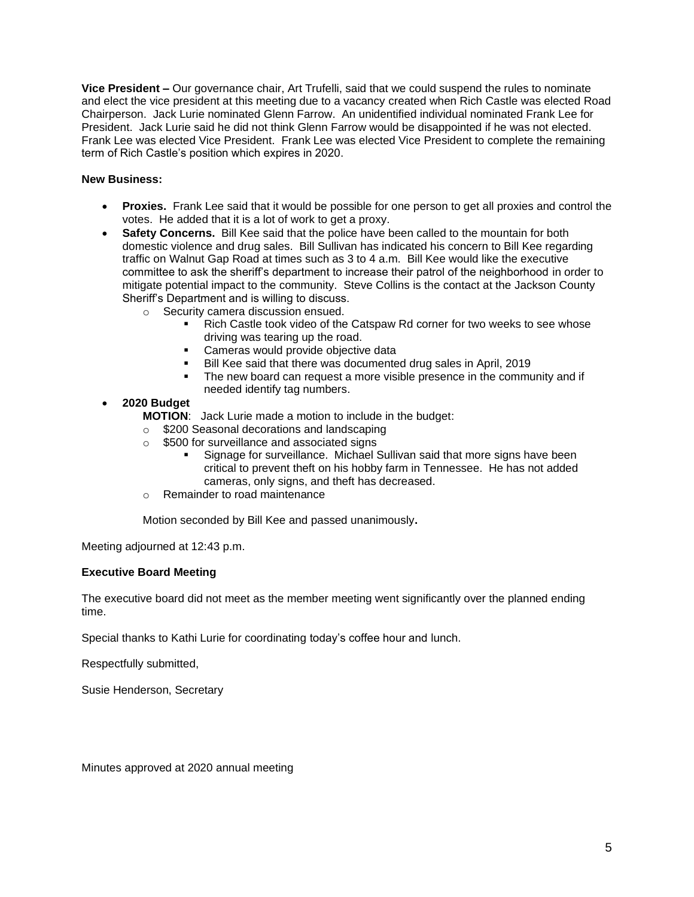**Vice President –** Our governance chair, Art Trufelli, said that we could suspend the rules to nominate and elect the vice president at this meeting due to a vacancy created when Rich Castle was elected Road Chairperson. Jack Lurie nominated Glenn Farrow. An unidentified individual nominated Frank Lee for President. Jack Lurie said he did not think Glenn Farrow would be disappointed if he was not elected. Frank Lee was elected Vice President. Frank Lee was elected Vice President to complete the remaining term of Rich Castle's position which expires in 2020.

## **New Business:**

- **Proxies.** Frank Lee said that it would be possible for one person to get all proxies and control the votes. He added that it is a lot of work to get a proxy.
- **Safety Concerns.** Bill Kee said that the police have been called to the mountain for both domestic violence and drug sales. Bill Sullivan has indicated his concern to Bill Kee regarding traffic on Walnut Gap Road at times such as 3 to 4 a.m. Bill Kee would like the executive committee to ask the sheriff's department to increase their patrol of the neighborhood in order to mitigate potential impact to the community. Steve Collins is the contact at the Jackson County Sheriff's Department and is willing to discuss.
	- o Security camera discussion ensued.
		- Rich Castle took video of the Catspaw Rd corner for two weeks to see whose driving was tearing up the road.
		- Cameras would provide objective data
		- Bill Kee said that there was documented drug sales in April, 2019
		- The new board can request a more visible presence in the community and if needed identify tag numbers.

### • **2020 Budget**

**MOTION**: Jack Lurie made a motion to include in the budget:

- o \$200 Seasonal decorations and landscaping
- o \$500 for surveillance and associated signs
	- Signage for surveillance. Michael Sullivan said that more signs have been critical to prevent theft on his hobby farm in Tennessee. He has not added cameras, only signs, and theft has decreased.
- o Remainder to road maintenance

Motion seconded by Bill Kee and passed unanimously**.**

Meeting adjourned at 12:43 p.m.

## **Executive Board Meeting**

The executive board did not meet as the member meeting went significantly over the planned ending time.

Special thanks to Kathi Lurie for coordinating today's coffee hour and lunch.

Respectfully submitted,

Susie Henderson, Secretary

Minutes approved at 2020 annual meeting